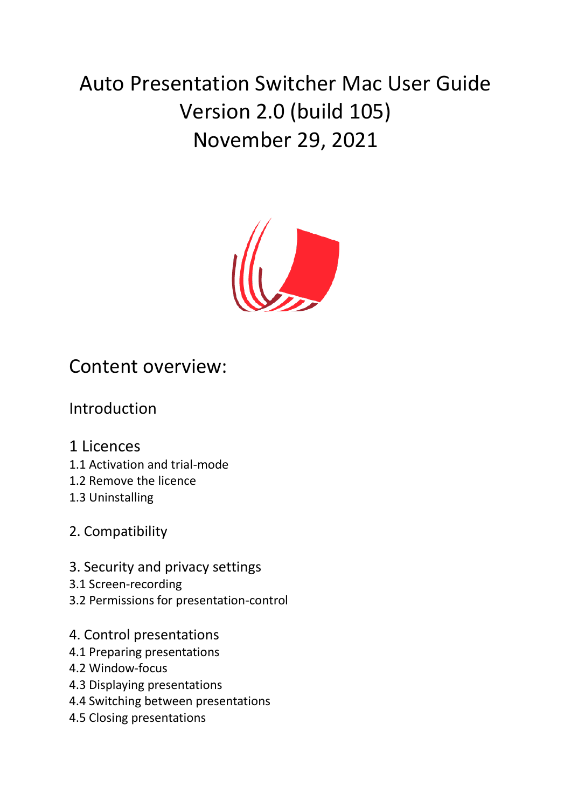# Auto Presentation Switcher Mac User Guide Version 2.0 (build 105) November 29, 2021



# Content overview:

### Introduction

### 1 Licences

- 1.1 Activation and trial-mode
- 1.2 Remove the licence
- 1.3 Uninstalling

### 2. Compatibility

- 3. Security and privacy settings
- 3.1 Screen-recording
- 3.2 Permissions for presentation-control
- 4. Control presentations
- 4.1 Preparing presentations
- 4.2 Window-focus
- 4.3 Displaying presentations
- 4.4 Switching between presentations
- 4.5 Closing presentations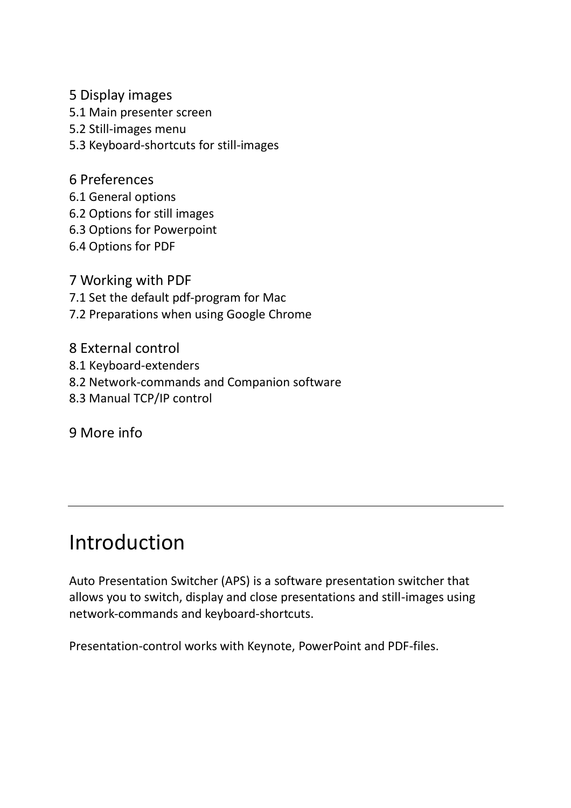5 Display images

- 5.1 Main presenter screen
- 5.2 Still-images menu
- 5.3 Keyboard-shortcuts for still-images
- 6 Preferences
- 6.1 General options
- 6.2 Options for still images
- 6.3 Options for Powerpoint
- 6.4 Options for PDF
- 7 Working with PDF
- 7.1 Set the default pdf-program for Mac
- 7.2 Preparations when using Google Chrome
- 8 External control
- 8.1 Keyboard-extenders
- 8.2 Network-commands and Companion software
- 8.3 Manual TCP/IP control

9 More info

# Introduction

Auto Presentation Switcher (APS) is a software presentation switcher that allows you to switch, display and close presentations and still-images using network-commands and keyboard-shortcuts.

Presentation-control works with Keynote, PowerPoint and PDF-files.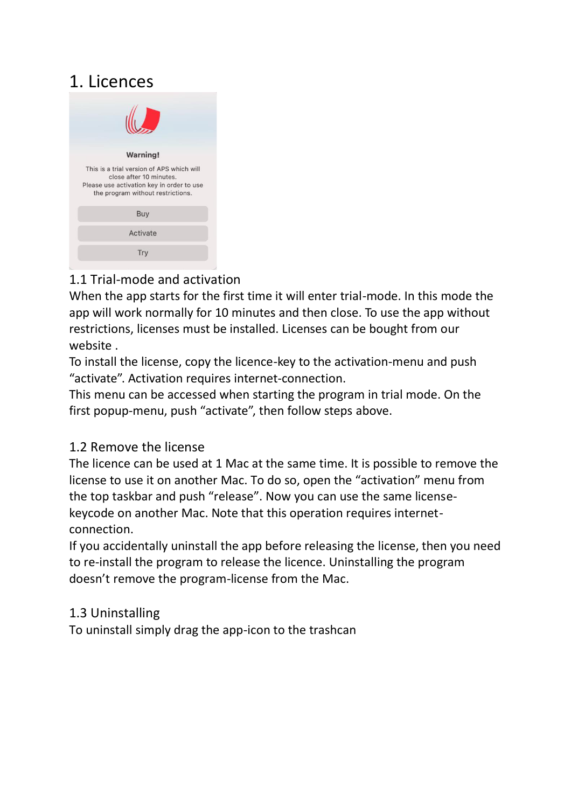# 1. Licences

| <b>Warning!</b>                                                                                                                                        |
|--------------------------------------------------------------------------------------------------------------------------------------------------------|
| This is a trial version of APS which will<br>close after 10 minutes.<br>Please use activation key in order to use<br>the program without restrictions. |
| <b>Buy</b>                                                                                                                                             |
| Activate                                                                                                                                               |
| Trv                                                                                                                                                    |
|                                                                                                                                                        |

#### 1.1 Trial-mode and activation

When the app starts for the first time it will enter trial-mode. In this mode the app will work normally for 10 minutes and then close. To use the app without restrictions, licenses must be installed. Licenses can be bought from our website .

To install the license, copy the licence-key to the activation-menu and push "activate". Activation requires internet-connection.

This menu can be accessed when starting the program in trial mode. On the first popup-menu, push "activate", then follow steps above.

#### 1.2 Remove the license

The licence can be used at 1 Mac at the same time. It is possible to remove the license to use it on another Mac. To do so, open the "activation" menu from the top taskbar and push "release". Now you can use the same licensekeycode on another Mac. Note that this operation requires internetconnection.

If you accidentally uninstall the app before releasing the license, then you need to re-install the program to release the licence. Uninstalling the program doesn't remove the program-license from the Mac.

#### 1.3 Uninstalling

To uninstall simply drag the app-icon to the trashcan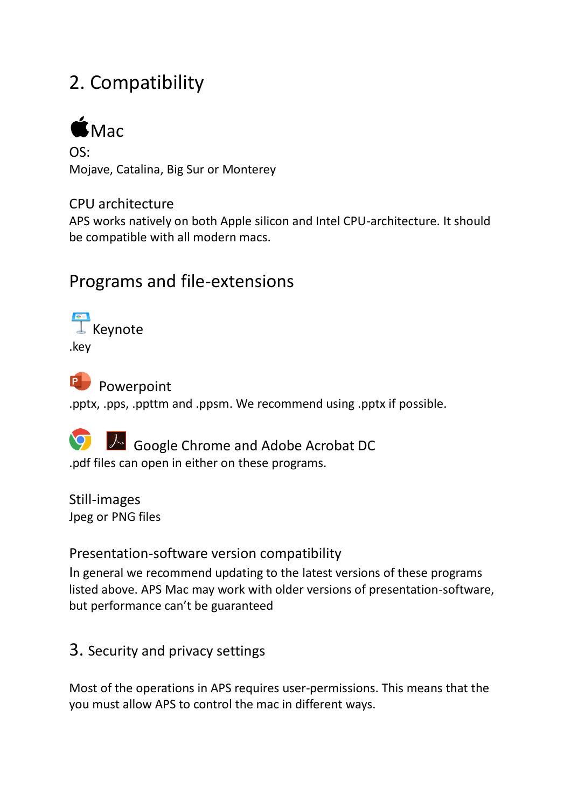# 2. Compatibility



 $OS:$ Mojave, Catalina, Big Sur or Monterey

#### CPU architecture

APS works natively on both Apple silicon and Intel CPU-architecture. It should be compatible with all modern macs.

# Programs and file-extensions

**Keynote** .key

P**D** Powerpoint .pptx, .pps, .ppttm and .ppsm. We recommend using .pptx if possible.

Google Chrome and Adobe Acrobat DC .pdf files can open in either on these programs.

Still-images Jpeg or PNG files

#### Presentation-software version compatibility

In general we recommend updating to the latest versions of these programs listed above. APS Mac may work with older versions of presentation-software, but performance can't be guaranteed

### 3. Security and privacy settings

Most of the operations in APS requires user-permissions. This means that the you must allow APS to control the mac in different ways.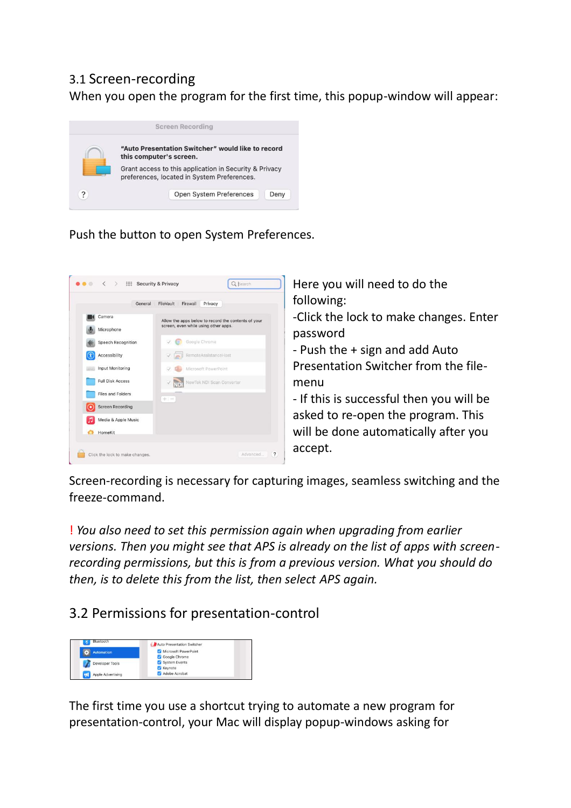#### 3.1 Screen-recording

When you open the program for the first time, this popup-window will appear:



#### Push the button to open System Preferences.



Here you will need to do the following:

-Click the lock to make changes. Enter password

- Push the + sign and add Auto Presentation Switcher from the filemenu

- If this is successful then you will be asked to re-open the program. This will be done automatically after you accept.

Screen-recording is necessary for capturing images, seamless switching and the freeze-command.

! *You also need to set this permission again when upgrading from earlier versions. Then you might see that APS is already on the list of apps with screenrecording permissions, but this is from a previous version. What you should do then, is to delete this from the list, then select APS again.*

#### 3.2 Permissions for presentation-control



The first time you use a shortcut trying to automate a new program for presentation-control, your Mac will display popup-windows asking for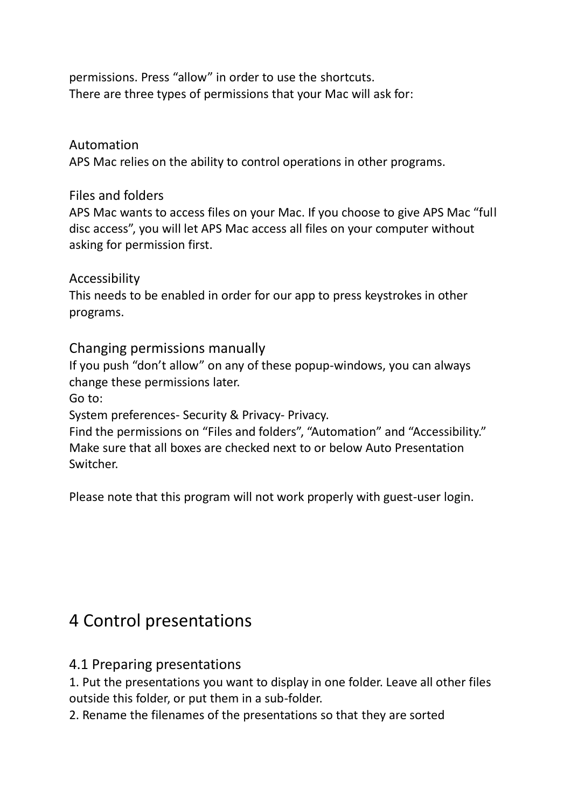permissions. Press "allow" in order to use the shortcuts. There are three types of permissions that your Mac will ask for:

#### Automation

APS Mac relies on the ability to control operations in other programs.

#### Files and folders

APS Mac wants to access files on your Mac. If you choose to give APS Mac "full disc access", you will let APS Mac access all files on your computer without asking for permission first.

#### Accessibility

This needs to be enabled in order for our app to press keystrokes in other programs.

#### Changing permissions manually

If you push "don't allow" on any of these popup-windows, you can always change these permissions later.

Go to:

System preferences- Security & Privacy- Privacy.

Find the permissions on "Files and folders", "Automation" and "Accessibility." Make sure that all boxes are checked next to or below Auto Presentation Switcher.

Please note that this program will not work properly with guest-user login.

### 4 Control presentations

#### 4.1 Preparing presentations

1. Put the presentations you want to display in one folder. Leave all other files outside this folder, or put them in a sub-folder.

2. Rename the filenames of the presentations so that they are sorted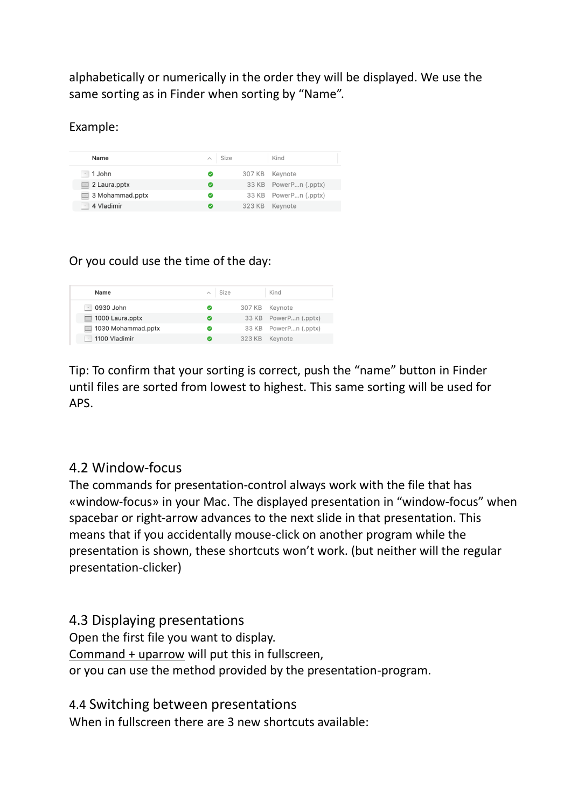alphabetically or numerically in the order they will be displayed. We use the same sorting as in Finder when sorting by "Name".

Example:

| Name                     | $\wedge$ Size |        | Kind                  |
|--------------------------|---------------|--------|-----------------------|
| $-1$ John                | ల             | 307 KB | Kevnote               |
| $\equiv$ 2 Laura.pptx    | Ø             |        | 33 KB PowerPn (.pptx) |
| $\equiv$ 3 Mohammad.pptx | Ø             |        | 33 KB PowerPn (.pptx) |
| 4 Vladimir<br>$\epsilon$ | Ø             | 323 KB | Keynote               |

#### Or you could use the time of the day:

| Name                                        | Size |        | Kind                  |
|---------------------------------------------|------|--------|-----------------------|
| 0930 John                                   |      |        | 307 KB Keynote        |
| 1000 Laura.pptx<br>$\overline{\phantom{a}}$ |      |        | 33 KB PowerPn (.pptx) |
| 1030 Mohammad.pptx<br><b>International</b>  |      |        | 33 KB PowerPn (.pptx) |
| 1100 Vladimir                               |      | 323 KB | Kevnote               |

Tip: To confirm that your sorting is correct, push the "name" button in Finder until files are sorted from lowest to highest. This same sorting will be used for APS.

#### 4.2 Window-focus

The commands for presentation-control always work with the file that has «window-focus» in your Mac. The displayed presentation in "window-focus" when spacebar or right-arrow advances to the next slide in that presentation. This means that if you accidentally mouse-click on another program while the presentation is shown, these shortcuts won't work. (but neither will the regular presentation-clicker)

#### 4.3 Displaying presentations

Open the first file you want to display. Command + uparrow will put this in fullscreen, or you can use the method provided by the presentation-program.

4.4 Switching between presentations

When in fullscreen there are 3 new shortcuts available: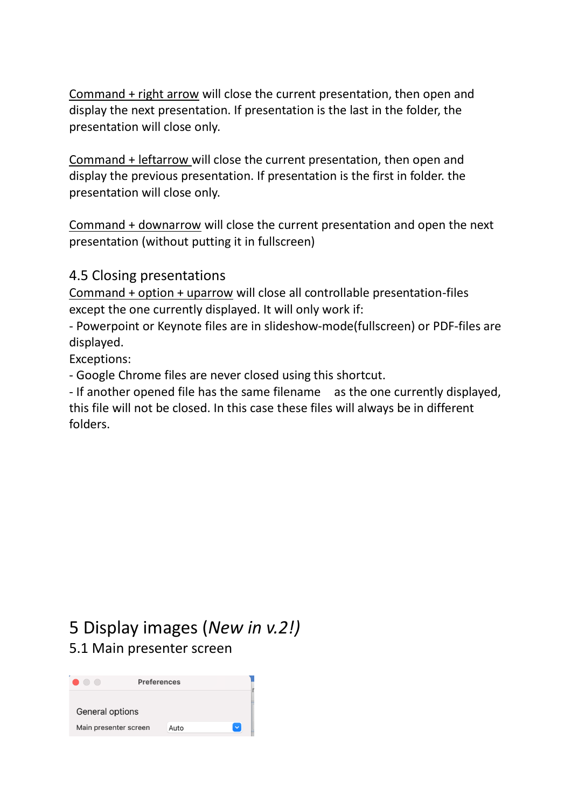Command + right arrow will close the current presentation, then open and display the next presentation. If presentation is the last in the folder, the presentation will close only.

Command + leftarrow will close the current presentation, then open and display the previous presentation. If presentation is the first in folder. the presentation will close only.

Command + downarrow will close the current presentation and open the next presentation (without putting it in fullscreen)

#### 4.5 Closing presentations

Command + option + uparrow will close all controllable presentation-files except the one currently displayed. It will only work if:

- Powerpoint or Keynote files are in slideshow-mode(fullscreen) or PDF-files are displayed.

Exceptions:

- Google Chrome files are never closed using this shortcut.

- If another opened file has the same filename as the one currently displayed, this file will not be closed. In this case these files will always be in different folders.

## 5 Display images (*New in v.2!)* 5.1 Main presenter screen

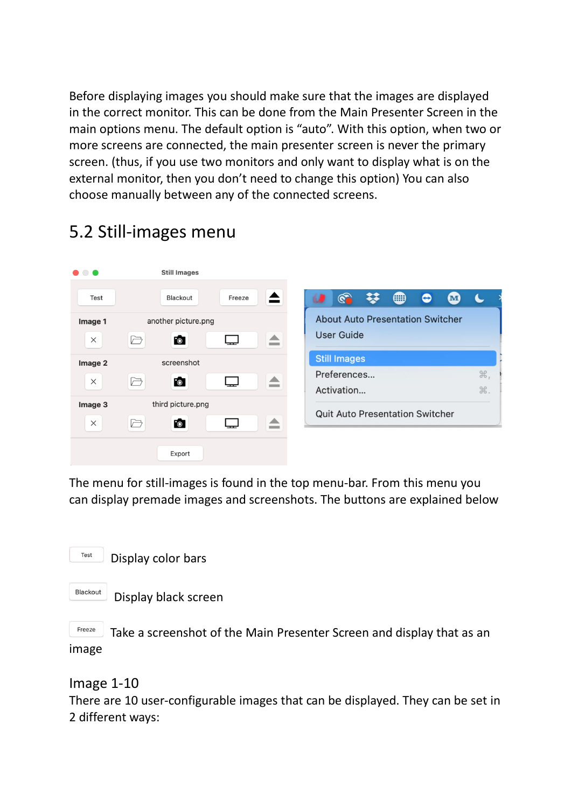Before displaying images you should make sure that the images are displayed in the correct monitor. This can be done from the Main Presenter Screen in the main options menu. The default option is "auto". With this option, when two or more screens are connected, the main presenter screen is never the primary screen. (thus, if you use two monitors and only want to display what is on the external monitor, then you don't need to change this option) You can also choose manually between any of the connected screens.

#### $\bullet$   $\bullet$ **Still Images** ≜ G ▓ ▦  $\bullet$  $\mathbf{M}$ Test **Blackout** Freeze ω  $\blacklozenge$ **About Auto Presentation Switcher** another picture.png Image 1 User Guide  $\times$  $\ominus$ Fo ⋤ ≜ **Still Images** Image 2 screenshot Preferences... ₩,  $\ominus$  $\Box$ ≜  $\times$ Fo<sup>-</sup> Activation... ポ. third picture.png Image 3 **Quit Auto Presentation Switcher** ≜  $\times$  $\ominus$ Fo<sup>-</sup> ⋤ Export

5.2 Still-images menu

The menu for still-images is found in the top menu-bar. From this menu you can display premade images and screenshots. The buttons are explained below



Blackout Display black screen

Freeze Take a screenshot of the Main Presenter Screen and display that as an image

Image 1-10

There are 10 user-configurable images that can be displayed. They can be set in 2 different ways: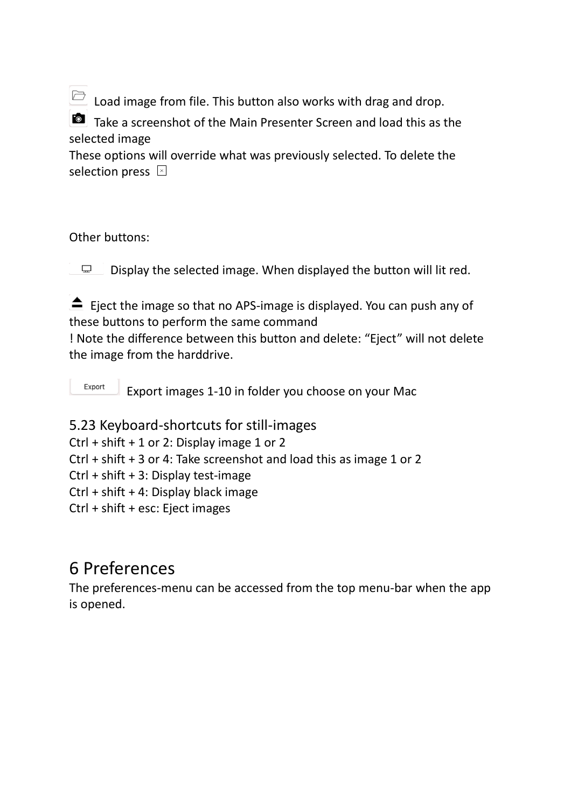$\Box$  Load image from file. This button also works with drag and drop.

Take a screenshot of the Main Presenter Screen and load this as the selected image

These options will override what was previously selected. To delete the selection press  $\boxtimes$ 

#### Other buttons:

Display the selected image. When displayed the button will lit red.  $\Box$ 

 $\triangle$  Eject the image so that no APS-image is displayed. You can push any of these buttons to perform the same command

! Note the difference between this button and delete: "Eject" will not delete the image from the harddrive.

Export Export images 1-10 in folder you choose on your Mac

5.23 Keyboard-shortcuts for still-images

Ctrl + shift + 1 or 2: Display image 1 or 2

Ctrl + shift + 3 or 4: Take screenshot and load this as image 1 or 2

Ctrl + shift + 3: Display test-image

Ctrl + shift + 4: Display black image

Ctrl + shift + esc: Eject images

# 6 Preferences

The preferences-menu can be accessed from the top menu-bar when the app is opened.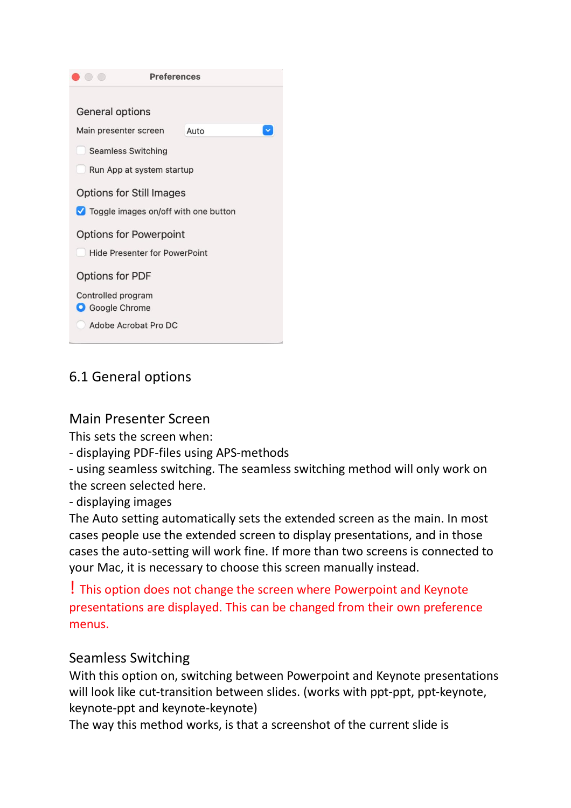

### 6.1 General options

#### Main Presenter Screen

This sets the screen when:

- displaying PDF-files using APS-methods

- using seamless switching. The seamless switching method will only work on the screen selected here.

- displaying images

The Auto setting automatically sets the extended screen as the main. In most cases people use the extended screen to display presentations, and in those cases the auto-setting will work fine. If more than two screens is connected to your Mac, it is necessary to choose this screen manually instead.

! This option does not change the screen where Powerpoint and Keynote presentations are displayed. This can be changed from their own preference menus.

#### Seamless Switching

With this option on, switching between Powerpoint and Keynote presentations will look like cut-transition between slides. (works with ppt-ppt, ppt-keynote, keynote-ppt and keynote-keynote)

The way this method works, is that a screenshot of the current slide is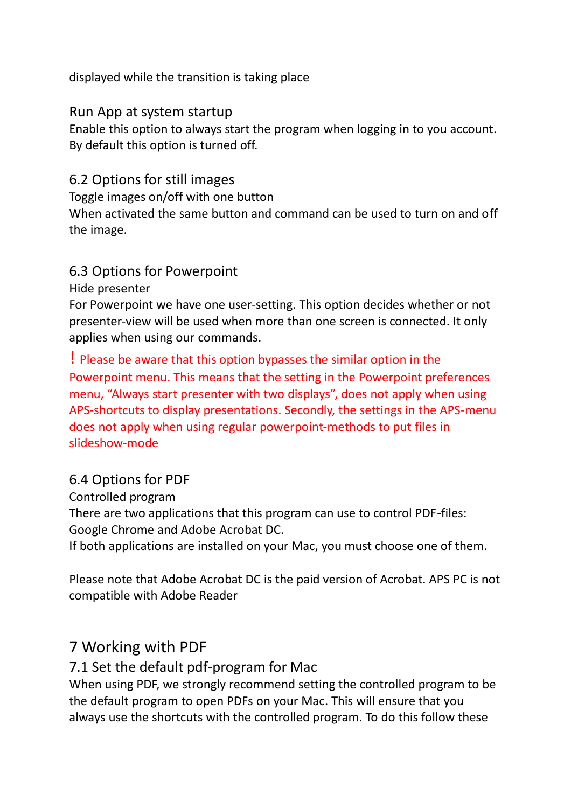displayed while the transition is taking place

#### Run App at system startup

Enable this option to always start the program when logging in to you account. By default this option is turned off.

#### 6.2 Options for still images

Toggle images on/off with one button

When activated the same button and command can be used to turn on and off the image.

#### 6.3 Options for Powerpoint

Hide presenter

For Powerpoint we have one user-setting. This option decides whether or not presenter-view will be used when more than one screen is connected. It only applies when using our commands.

! Please be aware that this option bypasses the similar option in the Powerpoint menu. This means that the setting in the Powerpoint preferences menu, "Always start presenter with two displays", does not apply when using APS-shortcuts to display presentations. Secondly, the settings in the APS-menu does not apply when using regular powerpoint-methods to put files in slideshow-mode

#### 6.4 Options for PDF

Controlled program There are two applications that this program can use to control PDF-files: Google Chrome and Adobe Acrobat DC.

If both applications are installed on your Mac, you must choose one of them.

Please note that Adobe Acrobat DC is the paid version of Acrobat. APS PC is not compatible with Adobe Reader

#### 7 Working with PDF

#### 7.1 Set the default pdf-program for Mac

When using PDF, we strongly recommend setting the controlled program to be the default program to open PDFs on your Mac. This will ensure that you always use the shortcuts with the controlled program. To do this follow these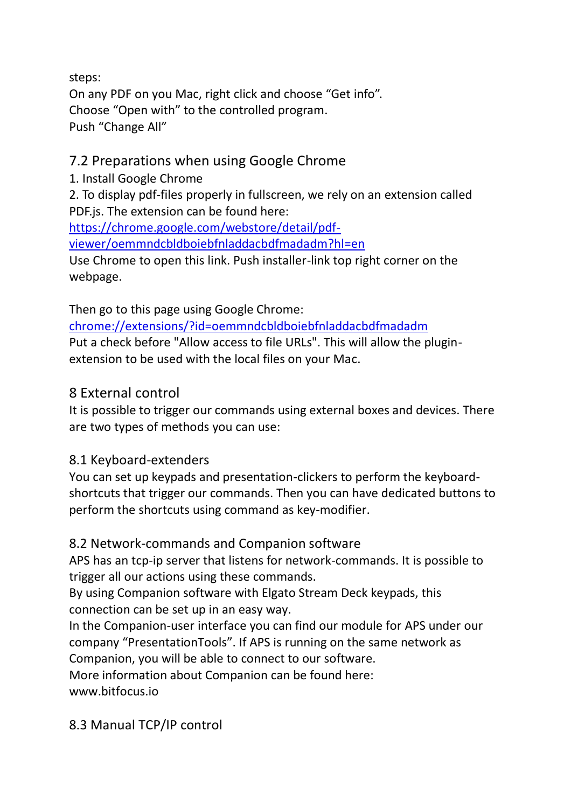steps: On any PDF on you Mac, right click and choose "Get info". Choose "Open with" to the controlled program. Push "Change All"

#### 7.2 Preparations when using Google Chrome

1. Install Google Chrome

2. To display pdf-files properly in fullscreen, we rely on an extension called PDF.js. The extension can be found here:

[https://chrome.google.com/webstore/detail/pdf-](https://chrome.google.com/webstore/detail/pdf-viewer/oemmndcbldboiebfnladdacbdfmadadm?hl=en)

[viewer/oemmndcbldboiebfnladdacbdfmadadm?hl=en](https://chrome.google.com/webstore/detail/pdf-viewer/oemmndcbldboiebfnladdacbdfmadadm?hl=en)

Use Chrome to open this link. Push installer-link top right corner on the webpage.

Then go to this page using Google Chrome:

<chrome://extensions/?id=oemmndcbldboiebfnladdacbdfmadadm> Put a check before "Allow access to file URLs". This will allow the pluginextension to be used with the local files on your Mac.

#### 8 External control

It is possible to trigger our commands using external boxes and devices. There are two types of methods you can use:

#### 8.1 Keyboard-extenders

You can set up keypads and presentation-clickers to perform the keyboardshortcuts that trigger our commands. Then you can have dedicated buttons to perform the shortcuts using command as key-modifier.

#### 8.2 Network-commands and Companion software

APS has an tcp-ip server that listens for network-commands. It is possible to trigger all our actions using these commands.

By using Companion software with Elgato Stream Deck keypads, this connection can be set up in an easy way.

```
In the Companion-user interface you can find our module for APS under our 
company "PresentationTools". If APS is running on the same network as 
Companion, you will be able to connect to our software.
```
More information about Companion can be found here:

[www.bitfocus.io](http://www.bitfocus.io/)

8.3 Manual TCP/IP control